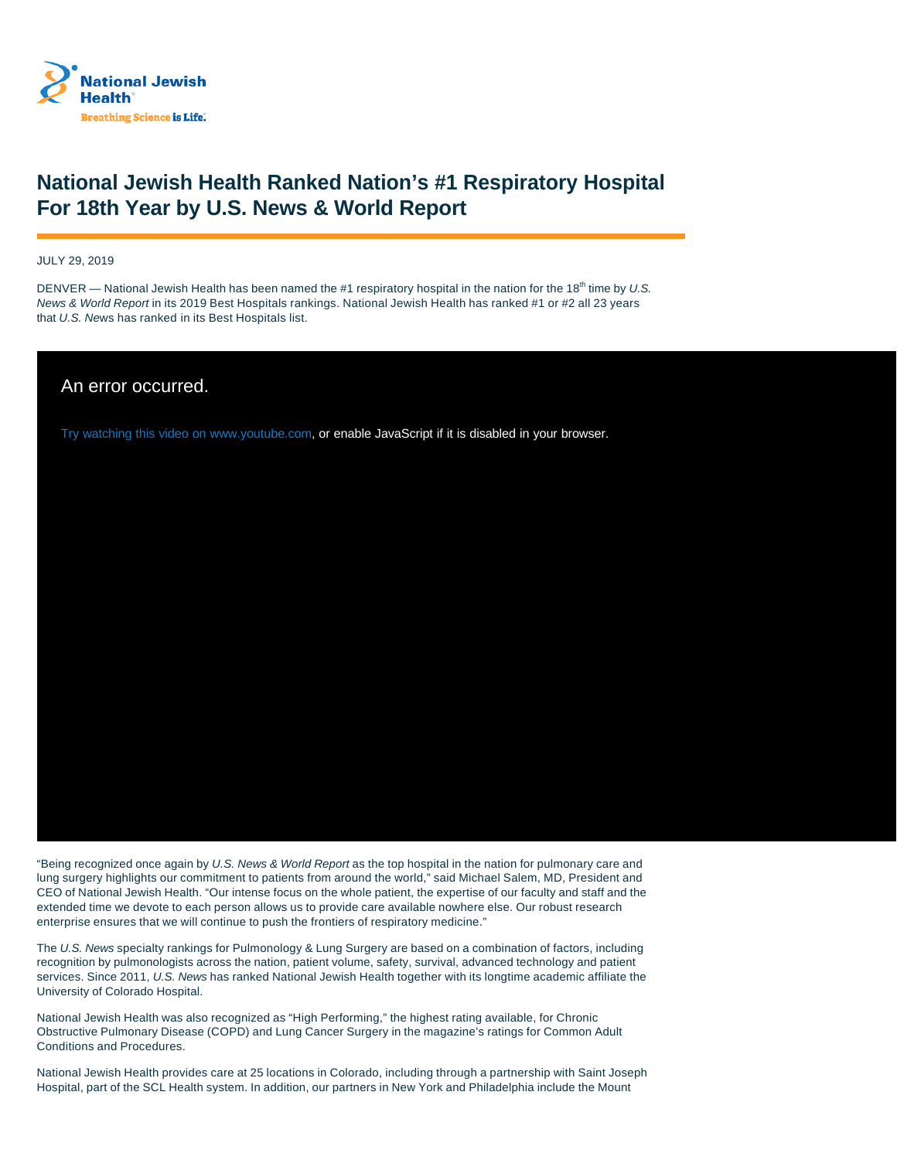

## **National Jewish Health Ranked Nation's #1 Respiratory Hospital For 18th Year by U.S. News & World Report**

JULY 29, 2019

DENVER — National Jewish Health has been named the #1 respiratory hospital in the nation for the 18<sup>th</sup> time by U.S. News & World Report in its 2019 Best Hospitals rankings. National Jewish Health has ranked #1 or #2 all 23 years that U.S. News has ranked in its Best Hospitals list.

An error occurred.

Try watching this video on www.youtube.com, or enable JavaScript if it is disabled in your browser.

"Being recognized once again by U.S. News & World Report as the top hospital in the nation for pulmonary care and lung surgery highlights our commitment to patients from around the world," said Michael Salem, MD, President and CEO of National Jewish Health. "Our intense focus on the whole patient, the expertise of our faculty and staff and the extended time we devote to each person allows us to provide care available nowhere else. Our robust research enterprise ensures that we will continue to push the frontiers of respiratory medicine."

The U.S. News specialty rankings for Pulmonology & Lung Surgery are based on a combination of factors, including recognition by pulmonologists across the nation, patient volume, safety, survival, advanced technology and patient services. Since 2011, U.S. News has ranked National Jewish Health together with its longtime academic affiliate the University of Colorado Hospital.

National Jewish Health was also recognized as "High Performing," the highest rating available, for Chronic Obstructive Pulmonary Disease (COPD) and Lung Cancer Surgery in the magazine's ratings for Common Adult Conditions and Procedures.

National Jewish Health provides care at 25 locations in Colorado, including through a partnership with Saint Joseph Hospital, part of the SCL Health system. In addition, our partners in New York and Philadelphia include the Mount